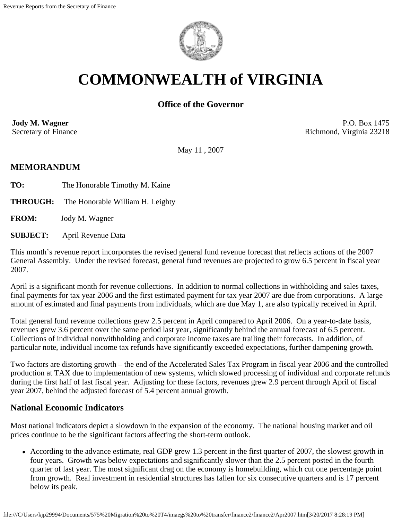

# **COMMONWEALTH of VIRGINIA**

## **Office of the Governor**

**Jody M. Wagner**  Secretary of Finance

P.O. Box 1475 Richmond, Virginia 23218

May 11 , 2007

#### **MEMORANDUM**

**TO:** The Honorable Timothy M. Kaine

**THROUGH:** The Honorable William H. Leighty

**FROM:** Jody M. Wagner

**SUBJECT:** April Revenue Data

This month's revenue report incorporates the revised general fund revenue forecast that reflects actions of the 2007 General Assembly. Under the revised forecast, general fund revenues are projected to grow 6.5 percent in fiscal year 2007.

April is a significant month for revenue collections. In addition to normal collections in withholding and sales taxes, final payments for tax year 2006 and the first estimated payment for tax year 2007 are due from corporations. A large amount of estimated and final payments from individuals, which are due May 1, are also typically received in April.

Total general fund revenue collections grew 2.5 percent in April compared to April 2006. On a year-to-date basis, revenues grew 3.6 percent over the same period last year, significantly behind the annual forecast of 6.5 percent. Collections of individual nonwithholding and corporate income taxes are trailing their forecasts. In addition, of particular note, individual income tax refunds have significantly exceeded expectations, further dampening growth.

Two factors are distorting growth – the end of the Accelerated Sales Tax Program in fiscal year 2006 and the controlled production at TAX due to implementation of new systems, which slowed processing of individual and corporate refunds during the first half of last fiscal year. Adjusting for these factors, revenues grew 2.9 percent through April of fiscal year 2007, behind the adjusted forecast of 5.4 percent annual growth.

### **National Economic Indicators**

Most national indicators depict a slowdown in the expansion of the economy. The national housing market and oil prices continue to be the significant factors affecting the short-term outlook.

According to the advance estimate, real GDP grew 1.3 percent in the first quarter of 2007, the slowest growth in four years. Growth was below expectations and significantly slower than the 2.5 percent posted in the fourth quarter of last year. The most significant drag on the economy is homebuilding, which cut one percentage point from growth. Real investment in residential structures has fallen for six consecutive quarters and is 17 percent below its peak.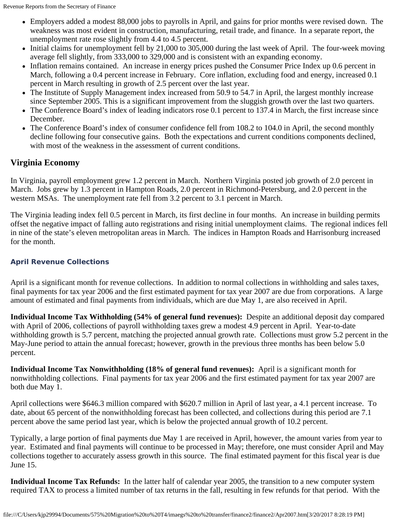- Employers added a modest 88,000 jobs to payrolls in April, and gains for prior months were revised down. The weakness was most evident in construction, manufacturing, retail trade, and finance. In a separate report, the unemployment rate rose slightly from 4.4 to 4.5 percent.
- Initial claims for unemployment fell by 21,000 to 305,000 during the last week of April. The four-week moving average fell slightly, from 333,000 to 329,000 and is consistent with an expanding economy.
- Inflation remains contained. An increase in energy prices pushed the Consumer Price Index up 0.6 percent in March, following a 0.4 percent increase in February. Core inflation, excluding food and energy, increased 0.1 percent in March resulting in growth of 2.5 percent over the last year.
- The Institute of Supply Management index increased from 50.9 to 54.7 in April, the largest monthly increase since September 2005. This is a significant improvement from the sluggish growth over the last two quarters.
- The Conference Board's index of leading indicators rose 0.1 percent to 137.4 in March, the first increase since December.
- The Conference Board's index of consumer confidence fell from 108.2 to 104.0 in April, the second monthly decline following four consecutive gains. Both the expectations and current conditions components declined, with most of the weakness in the assessment of current conditions.

## **Virginia Economy**

In Virginia, payroll employment grew 1.2 percent in March. Northern Virginia posted job growth of 2.0 percent in March. Jobs grew by 1.3 percent in Hampton Roads, 2.0 percent in Richmond-Petersburg, and 2.0 percent in the western MSAs. The unemployment rate fell from 3.2 percent to 3.1 percent in March.

The Virginia leading index fell 0.5 percent in March, its first decline in four months. An increase in building permits offset the negative impact of falling auto registrations and rising initial unemployment claims. The regional indices fell in nine of the state's eleven metropolitan areas in March. The indices in Hampton Roads and Harrisonburg increased for the month.

## **April Revenue Collections**

April is a significant month for revenue collections. In addition to normal collections in withholding and sales taxes, final payments for tax year 2006 and the first estimated payment for tax year 2007 are due from corporations. A large amount of estimated and final payments from individuals, which are due May 1, are also received in April.

**Individual Income Tax Withholding (54% of general fund revenues):** Despite an additional deposit day compared with April of 2006, collections of payroll withholding taxes grew a modest 4.9 percent in April. Year-to-date withholding growth is 5.7 percent, matching the projected annual growth rate. Collections must grow 5.2 percent in the May-June period to attain the annual forecast; however, growth in the previous three months has been below 5.0 percent.

**Individual Income Tax Nonwithholding (18% of general fund revenues):** April is a significant month for nonwithholding collections. Final payments for tax year 2006 and the first estimated payment for tax year 2007 are both due May 1.

April collections were \$646.3 million compared with \$620.7 million in April of last year, a 4.1 percent increase. To date, about 65 percent of the nonwithholding forecast has been collected, and collections during this period are 7.1 percent above the same period last year, which is below the projected annual growth of 10.2 percent.

Typically, a large portion of final payments due May 1 are received in April, however, the amount varies from year to year. Estimated and final payments will continue to be processed in May; therefore, one must consider April and May collections together to accurately assess growth in this source. The final estimated payment for this fiscal year is due June 15.

**Individual Income Tax Refunds:** In the latter half of calendar year 2005, the transition to a new computer system required TAX to process a limited number of tax returns in the fall, resulting in few refunds for that period. With the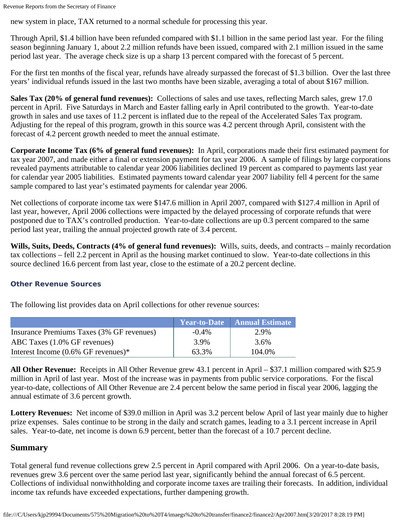Revenue Reports from the Secretary of Finance

new system in place, TAX returned to a normal schedule for processing this year.

Through April, \$1.4 billion have been refunded compared with \$1.1 billion in the same period last year. For the filing season beginning January 1, about 2.2 million refunds have been issued, compared with 2.1 million issued in the same period last year. The average check size is up a sharp 13 percent compared with the forecast of 5 percent.

For the first ten months of the fiscal year, refunds have already surpassed the forecast of \$1.3 billion. Over the last three years' individual refunds issued in the last two months have been sizable, averaging a total of about \$167 million.

**Sales Tax (20% of general fund revenues):** Collections of sales and use taxes, reflecting March sales, grew 17.0 percent in April. Five Saturdays in March and Easter falling early in April contributed to the growth. Year-to-date growth in sales and use taxes of 11.2 percent is inflated due to the repeal of the Accelerated Sales Tax program. Adjusting for the repeal of this program, growth in this source was 4.2 percent through April, consistent with the forecast of 4.2 percent growth needed to meet the annual estimate.

**Corporate Income Tax (6% of general fund revenues):** In April, corporations made their first estimated payment for tax year 2007, and made either a final or extension payment for tax year 2006. A sample of filings by large corporations revealed payments attributable to calendar year 2006 liabilities declined 19 percent as compared to payments last year for calendar year 2005 liabilities. Estimated payments toward calendar year 2007 liability fell 4 percent for the same sample compared to last year's estimated payments for calendar year 2006.

Net collections of corporate income tax were \$147.6 million in April 2007, compared with \$127.4 million in April of last year, however, April 2006 collections were impacted by the delayed processing of corporate refunds that were postponed due to TAX's controlled production. Year-to-date collections are up 0.3 percent compared to the same period last year, trailing the annual projected growth rate of 3.4 percent.

**Wills, Suits, Deeds, Contracts (4% of general fund revenues):** Wills, suits, deeds, and contracts – mainly recordation tax collections – fell 2.2 percent in April as the housing market continued to slow. Year-to-date collections in this source declined 16.6 percent from last year, close to the estimate of a 20.2 percent decline.

#### **Other Revenue Sources**

The following list provides data on April collections for other revenue sources:

|                                           |          | <b>Near-to-Date</b> Annual Estimate |
|-------------------------------------------|----------|-------------------------------------|
| Insurance Premiums Taxes (3% GF revenues) | $-0.4\%$ | 2.9%                                |
| ABC Taxes (1.0% GF revenues)              | 3.9%     | 3.6%                                |
| Interest Income $(0.6\%$ GF revenues)*    | 63.3%    | 104.0%                              |

**All Other Revenue:** Receipts in All Other Revenue grew 43.1 percent in April – \$37.1 million compared with \$25.9 million in April of last year. Most of the increase was in payments from public service corporations. For the fiscal year-to-date, collections of All Other Revenue are 2.4 percent below the same period in fiscal year 2006, lagging the annual estimate of 3.6 percent growth.

**Lottery Revenues:** Net income of \$39.0 million in April was 3.2 percent below April of last year mainly due to higher prize expenses. Sales continue to be strong in the daily and scratch games, leading to a 3.1 percent increase in April sales. Year-to-date, net income is down 6.9 percent, better than the forecast of a 10.7 percent decline.

#### **Summary**

Total general fund revenue collections grew 2.5 percent in April compared with April 2006. On a year-to-date basis, revenues grew 3.6 percent over the same period last year, significantly behind the annual forecast of 6.5 percent. Collections of individual nonwithholding and corporate income taxes are trailing their forecasts. In addition, individual income tax refunds have exceeded expectations, further dampening growth.